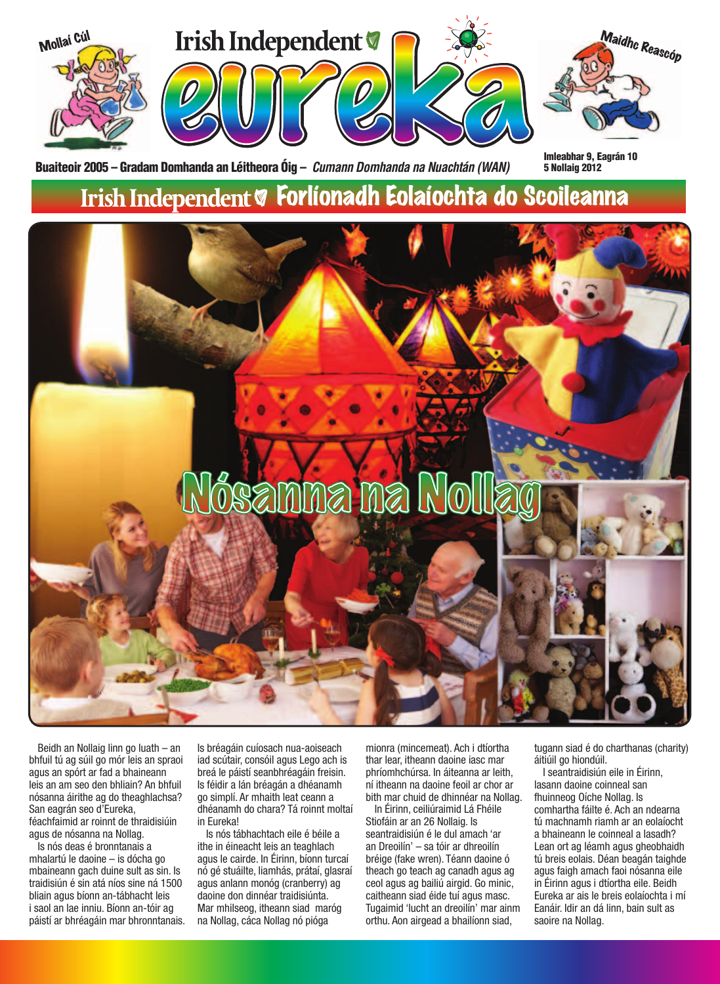

Beidh an Nollaig linn go luath – an bhfuil tú ag súil go mór leis an spraoi agus an spórt ar fad a bhaineann leis an am seo den bhliain? An bhfuil nósanna áirithe ag do theaghlachsa? San eagrán seo d'Eureka, féachfaimid ar roinnt de thraidisiúin agus de nósanna na Nollag.

Is nós deas é bronntanais a mhalartú le daoine – is dócha go mbaineann gach duine sult as sin. Is traidisiún é sin atá níos sine ná 1500 bliain agus bíonn an-tábhacht leis i saol an lae inniu. Bíonn an-tóir ag páistí ar bhréagáin mar bhronntanais. Is bréagáin cuíosach nua-aoiseach iad scútair, consóil agus Lego ach is breá le páistí seanbhréagáin freisin. Is féidir a lán bréagán a dhéanamh go simplí. Ar mhaith leat ceann a dhéanamh do chara? Tá roinnt moltaí in Eureka!

Is nós tábhachtach eile é béile a ithe in éineacht leis an teaghlach agus le cairde. In Éirinn, bíonn turcaí nó gé stuáilte, liamhás, prátaí, glasraí agus anlann monóg (cranberry) ag daoine don dinnéar traidisiúnta. Mar mhilseog, itheann siad maróg na Nollag, cáca Nollag nó pióga

mionra (mincemeat). Ach i dtíortha thar lear, itheann daoine iasc mar phríomhchúrsa. In áiteanna ar leith, ní itheann na daoine feoil ar chor ar bith mar chuid de dhinnéar na Nollag.

In Éirinn, ceiliúraimid Lá Fhéile Stiofáin ar an 26 Nollaig. Is seantraidisiún é le dul amach 'ar an Dreoilín' – sa tóir ar dhreoilín bréige (fake wren). Téann daoine ó theach go teach ag canadh agus ag ceol agus ag bailiú airgid. Go minic, caitheann siad éide tuí agus masc. Tugaimid 'lucht an dreoilín' mar ainm orthu. Aon airgead a bhailíonn siad,

tugann siad é do charthanas (charity) áitiúil go hiondúil.

I seantraidisiún eile in Éirinn, lasann daoine coinneal san fhuinneog Oíche Nollag. Is comhartha fáilte é. Ach an ndearna tú machnamh riamh ar an eolaíocht a bhaineann le coinneal a lasadh? Lean ort ag léamh agus gheobhaidh tú breis eolais. Déan beagán taighde agus faigh amach faoi nósanna eile in Éirinn agus i dtíortha eile. Beidh Eureka ar ais le breis eolaíochta i mí Eanáir. Idir an dá linn, bain sult as saoire na Nollag.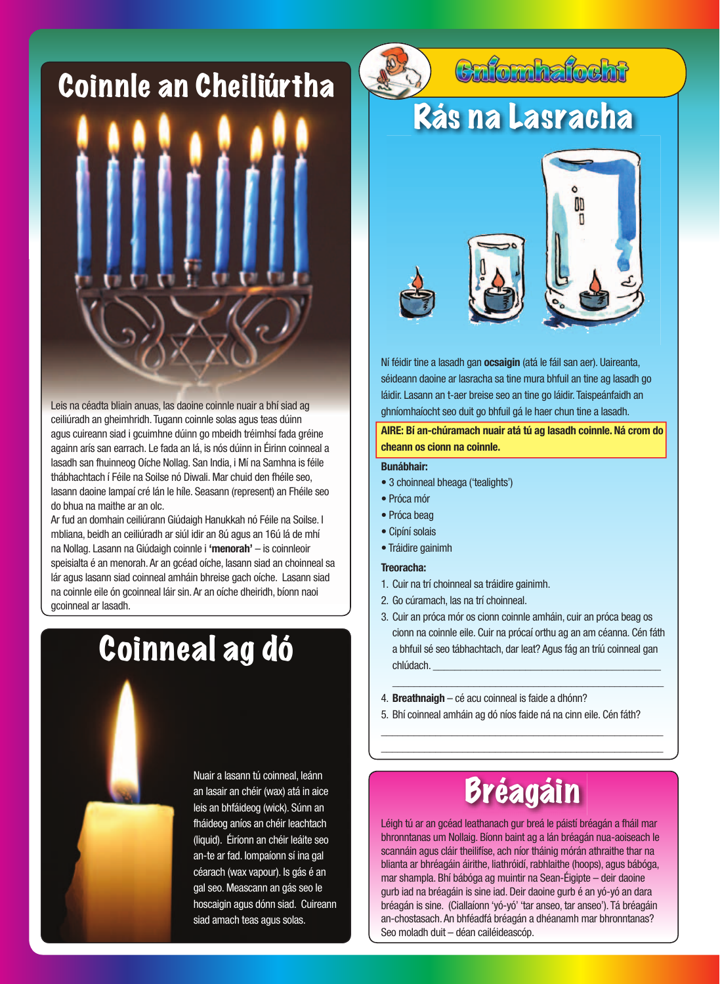#### Coinnle an Cheiliúrtha



agus cuireann siad i gcuimhne dúinn go mbeidh tréimhsí fada gréine againn arís san earrach. Le fada an lá, is nós dúinn in Éirinn coinneal a lasadh san fhuinneog Oíche Nollag. San India, i Mí na Samhna is féile thábhachtach í Féile na Soilse nó Diwali. Mar chuid den fhéile seo, lasann daoine lampaí cré lán le híle. Seasann (represent) an Fhéile seo do bhua na maithe ar an olc.

Ar fud an domhain ceiliúrann Giúdaigh Hanukkah nó Féile na Soilse. I mbliana, beidh an ceiliúradh ar siúl idir an 8ú agus an 16ú lá de mhí na Nollag. Lasann na Giúdaigh coinnle i **'menorah'** – is coinnleoir speisialta é an menorah. Ar an gcéad oíche, lasann siad an choinneal sa lár agus lasann siad coinneal amháin bhreise gach oíche. Lasann siad na coinnle eile ón gcoinneal láir sin. Ar an oíche dheiridh, bíonn naoi gcoinneal ar lasadh.

### Coinneal ag dó



## Cnfomhafocht

### Rás na Lasracha







Ní féidir tine a lasadh gan **ocsaigin** (atá le fáil san aer). Uaireanta, séideann daoine ar lasracha sa tine mura bhfuil an tine ag lasadh go láidir. Lasann an t-aer breise seo an tine go láidir. Taispeánfaidh an ghníomhaíocht seo duit go bhfuil gá le haer chun tine a lasadh.

**AIRE: Bí an-chúramach nuair atá tú ag lasadh coinnle. Ná crom do cheann os cionn na coinnle.**

#### **Bunábhair:**

- 3 choinneal bheaga ('tealights')
- Próca mór
- Próca beag
- Cipíní solais
- Tráidire gainimh

#### **Treoracha:**

- 1. Cuir na trí choinneal sa tráidire gainimh.
- 2. Go cúramach, las na trí choinneal.
- 3. Cuir an próca mór os cionn coinnle amháin, cuir an próca beag os cionn na coinnle eile. Cuir na prócaí orthu ag an am céanna. Cén fáth a bhfuil sé seo tábhachtach, dar leat? Agus fág an tríú coinneal gan chlúdach.

\_\_\_\_\_\_\_\_\_\_\_\_\_\_\_\_\_\_\_\_\_\_\_\_\_\_\_\_\_\_\_\_\_\_\_\_\_\_\_\_\_\_\_\_\_\_\_\_\_\_

- 4. **Breathnaigh**  cé acu coinneal is faide a dhónn?
- 5. Bhí coinneal amháin ag dó níos faide ná na cinn eile. Cén fáth?

\_\_\_\_\_\_\_\_\_\_\_\_\_\_\_\_\_\_\_\_\_\_\_\_\_\_\_\_\_\_\_\_\_\_\_\_\_\_\_\_\_\_\_\_\_\_\_\_\_\_\_\_ \_\_\_\_\_\_\_\_\_\_\_\_\_\_\_\_\_\_\_\_\_\_\_\_\_\_\_\_\_\_\_\_\_\_\_\_\_\_\_\_\_\_\_\_\_\_\_\_\_\_\_\_

### Bréagáin

Léigh tú ar an gcéad leathanach gur breá le páistí bréagán a fháil mar bhronntanas um Nollaig. Bíonn baint ag a lán bréagán nua-aoiseach le scannáin agus cláir theilifíse, ach níor tháinig mórán athraithe thar na blianta ar bhréagáin áirithe, liathróidí, rabhlaithe (hoops), agus bábóga, mar shampla. Bhí bábóga ag muintir na Sean-Éigipte – deir daoine gurb iad na bréagáin is sine iad. Deir daoine gurb é an yó-yó an dara bréagán is sine. (Ciallaíonn 'yó-yó' 'tar anseo, tar anseo'). Tá bréagáin an-chostasach. An bhféadfá bréagán a dhéanamh mar bhronntanas? Seo moladh duit – déan cailéideascóp.



Nuair a lasann tú coinneal, leánn an lasair an chéir (wax) atá in aice leis an bhfáideog (wick). Súnn an fháideog aníos an chéir leachtach (liquid). Éiríonn an chéir leáite seo an-te ar fad. Iompaíonn sí ina gal céarach (wax vapour). Is gás é an gal seo. Meascann an gás seo le hoscaigin agus dónn siad. Cuireann siad amach teas agus solas.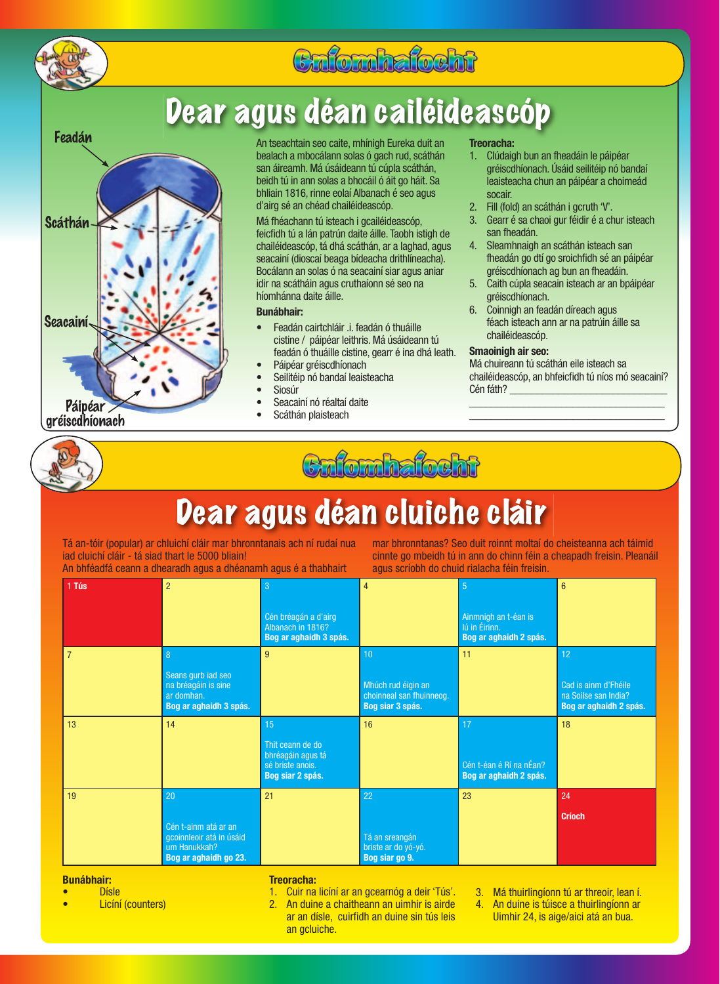

#### Cnfomhafocht

### Dear agus déan cailéideascóp



An tseachtain seo caite, mhínigh Eureka duit an bealach a mbocálann solas ó gach rud, scáthán san áireamh. Má úsáideann tú cúpla scáthán, beidh tú in ann solas a bhocáil ó áit go háit. Sa bhliain 1816, rinne eolaí Albanach é seo agus d'airg sé an chéad chailéideascóp.

Má fhéachann tú isteach i gcailéideascóp, feicfidh tú a lán patrún daite áille. Taobh istigh de chailéideascóp, tá dhá scáthán, ar a laghad, agus seacainí (dioscaí beaga bídeacha drithlíneacha). Bocálann an solas ó na seacainí siar agus aniar idir na scátháin agus cruthaíonn sé seo na híomhánna daite áille.

#### **Bunábhair:**

- Feadán cairtchláir .i. feadán ó thuáille cistine / páipéar leithris. Má úsáideann tú feadán ó thuáille cistine, gearr é ina dhá leath.
- Páipéar gréiscdhíonach
- Seilitéip nó bandaí leaisteacha
- **Siosúr**
- Seacainí nó réaltaí daite
- Scáthán plaisteach

#### **Treoracha:**

- 1. Clúdaigh bun an fheadáin le páipéar gréiscdhíonach. Úsáid seilitéip nó bandaí leaisteacha chun an páipéar a choimeád socair.
- 2. Fill (fold) an scáthán i gcruth 'V'.
- 3. Gearr é sa chaoi gur féidir é a chur isteach san fheadán.
- 4. Sleamhnaigh an scáthán isteach san fheadán go dtí go sroichfidh sé an páipéar gréiscdhíonach ag bun an fheadáin.
- 5. Caith cúpla seacain isteach ar an bpáipéar gréiscdhíonach.
- 6. Coinnigh an feadán díreach agus féach isteach ann ar na patrúin áille sa chailéideascóp.

#### **Smaoinigh air seo:**

Má chuireann tú scáthán eile isteach sa chailéideascóp, an bhfeicfidh tú níos mó seacainí? Cén fáth?

\_\_\_\_\_\_\_\_\_\_\_\_\_\_\_\_\_\_\_\_\_\_\_\_\_\_\_\_\_\_\_\_\_\_\_\_ \_\_\_\_\_\_\_\_\_\_\_\_\_\_\_\_\_\_\_\_\_\_\_\_\_\_\_\_\_\_\_\_\_\_\_\_





### Dear agus déan cluiche cláir

Tá an-tóir (popular) ar chluichí cláir mar bhronntanais ach ní rudaí nua iad cluichí cláir - tá siad thart le 5000 bliain!

An bhféadfá ceann a dhearadh agus a dhéanamh agus é a thabhairt

mar bhronntanas? Seo duit roinnt moltaí do cheisteanna ach táimid cinnte go mbeidh tú in ann do chinn féin a cheapadh freisin. Pleanáil agus scríobh do chuid rialacha féin freisin.

| 1 Tús          | $\overline{2}$                                                                                        | 3<br>Cén bréagán a d'airg<br>Albanach in 1816?<br>Bog ar aghaidh 3 spás.            | $\overline{4}$                                                           | $\overline{5}$<br>Ainmnigh an t-éan is<br>Iú in Éirinn.<br>Bog ar aghaidh 2 spás. | $6\phantom{1}$                                                               |
|----------------|-------------------------------------------------------------------------------------------------------|-------------------------------------------------------------------------------------|--------------------------------------------------------------------------|-----------------------------------------------------------------------------------|------------------------------------------------------------------------------|
| $\overline{7}$ | $\boldsymbol{8}$<br>Seans gurb iad seo<br>na bréagáin is sine<br>ar domhan.<br>Bog ar aghaidh 3 spás. | $9\,$                                                                               | 10<br>Mhúch rud éigin an<br>choinneal san fhuinneog.<br>Bog siar 3 spás. | 11                                                                                | 12<br>Cad is ainm d'Fhéile<br>na Soilse san India?<br>Bog ar aghaidh 2 spás. |
| 13             | 14                                                                                                    | 15<br>Thit ceann de do<br>bhréagáin agus tá<br>sé briste anois.<br>Bog siar 2 spás. | 16                                                                       | 17<br>Cén t-éan é Rí na nÉan?<br>Bog ar aghaidh 2 spás.                           | 18                                                                           |
| 19             | 20<br>Cén t-ainm atá ar an<br>gcoinnleoir atá in úsáid<br>um Hanukkah?<br>Bog ar aghaidh go 23.       | 21                                                                                  | 22<br>Tá an sreangán<br>briste ar do yó-yó.<br>Bog siar go 9.            | 23                                                                                | 24<br><b>Críoch</b>                                                          |

**Bunábhair:**

- Dísle
- Licíní (counters)

#### **Treoracha:**

- 1. Cuir na licíní ar an gcearnóg a deir 'Tús'.
- 2. An duine a chaitheann an uimhir is airde ar an dísle, cuirfidh an duine sin tús leis an gcluiche.
- 3. Má thuirlingíonn tú ar threoir, lean í.
- 4. An duine is túisce a thuirlingíonn ar Uimhir 24, is aige/aici atá an bua.